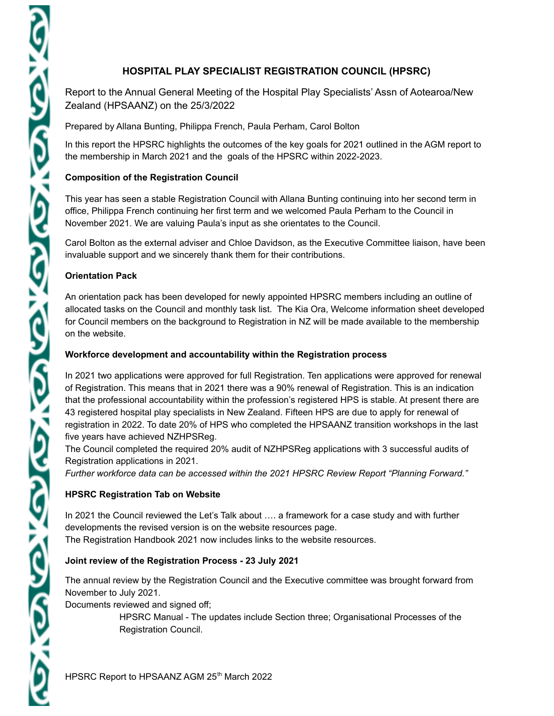Report to the Annual General Meeting of the Hospital Play Specialists' Assn of Aotearoa/New Zealand (HPSAANZ) on the 25/3/2022

Prepared by Allana Bunting, Philippa French, Paula Perham, Carol Bolton

In this report the HPSRC highlights the outcomes of the key goals for 2021 outlined in the AGM report to the membership in March 2021 and the goals of the HPSRC within 2022-2023.

# **Composition of the Registration Council**

This year has seen a stable Registration Council with Allana Bunting continuing into her second term in office, Philippa French continuing her first term and we welcomed Paula Perham to the Council in November 2021. We are valuing Paula's input as she orientates to the Council.

Carol Bolton as the external adviser and Chloe Davidson, as the Executive Committee liaison, have been invaluable support and we sincerely thank them for their contributions.

#### **Orientation Pack**

An orientation pack has been developed for newly appointed HPSRC members including an outline of allocated tasks on the Council and monthly task list. The Kia Ora, Welcome information sheet developed for Council members on the background to Registration in NZ will be made available to the membership on the website.

#### **Workforce development and accountability within the Registration process**

In 2021 two applications were approved for full Registration. Ten applications were approved for renewal of Registration. This means that in 2021 there was a 90% renewal of Registration. This is an indication that the professional accountability within the profession's registered HPS is stable. At present there are 43 registered hospital play specialists in New Zealand. Fifteen HPS are due to apply for renewal of registration in 2022. To date 20% of HPS who completed the HPSAANZ transition workshops in the last five years have achieved NZHPSReg.

The Council completed the required 20% audit of NZHPSReg applications with 3 successful audits of Registration applications in 2021.

*Further workforce data can be accessed within the 2021 HPSRC Review Report "Planning Forward."*

# **HPSRC Registration Tab on Website**

In 2021 the Council reviewed the Let's Talk about …. a framework for a case study and with further developments the revised version is on the website resources page. The Registration Handbook 2021 now includes links to the website resources.

#### **Joint review of the Registration Process - 23 July 2021**

The annual review by the Registration Council and the Executive committee was brought forward from November to July 2021.

Documents reviewed and signed off;

HPSRC Manual - The updates include Section three; Organisational Processes of the Registration Council.